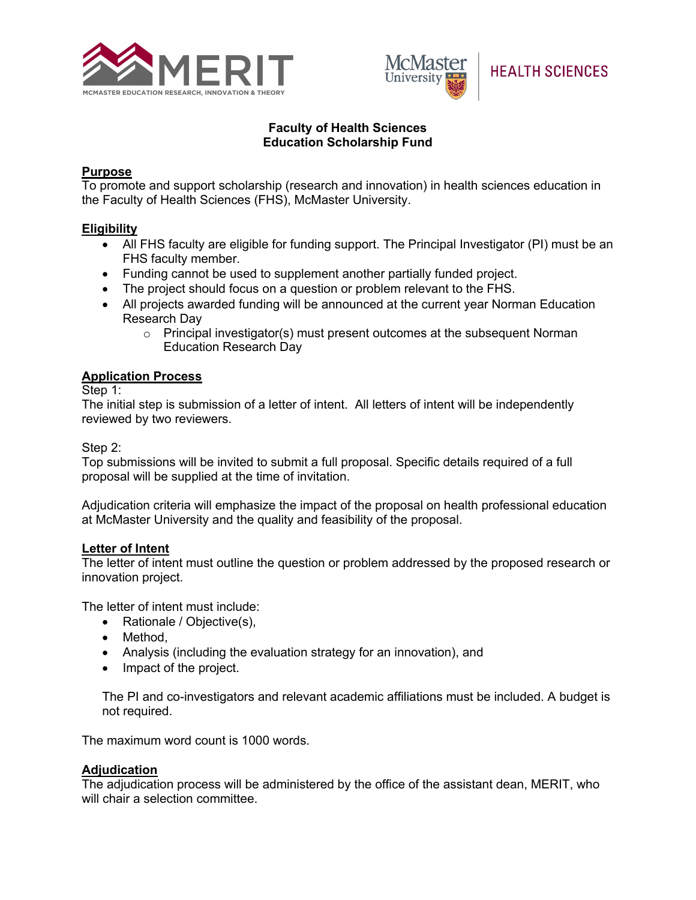



#### **Faculty of Health Sciences Education Scholarship Fund**

# **Purpose**

To promote and support scholarship (research and innovation) in health sciences education in the Faculty of Health Sciences (FHS), McMaster University.

## **Eligibility**

- All FHS faculty are eligible for funding support. The Principal Investigator (PI) must be an FHS faculty member.
- Funding cannot be used to supplement another partially funded project.
- The project should focus on a question or problem relevant to the FHS.
- All projects awarded funding will be announced at the current year Norman Education Research Day
	- $\circ$  Principal investigator(s) must present outcomes at the subsequent Norman Education Research Day

## **Application Process**

Step 1:

The initial step is submission of a letter of intent. All letters of intent will be independently reviewed by two reviewers.

Step 2:

Top submissions will be invited to submit a full proposal. Specific details required of a full proposal will be supplied at the time of invitation.

Adjudication criteria will emphasize the impact of the proposal on health professional education at McMaster University and the quality and feasibility of the proposal.

## **Letter of Intent**

The letter of intent must outline the question or problem addressed by the proposed research or innovation project.

The letter of intent must include:

- Rationale / Objective(s),
- Method,
- Analysis (including the evaluation strategy for an innovation), and
- Impact of the project.

The PI and co-investigators and relevant academic affiliations must be included. A budget is not required.

The maximum word count is 1000 words.

## **Adjudication**

The adjudication process will be administered by the office of the assistant dean, MERIT, who will chair a selection committee.